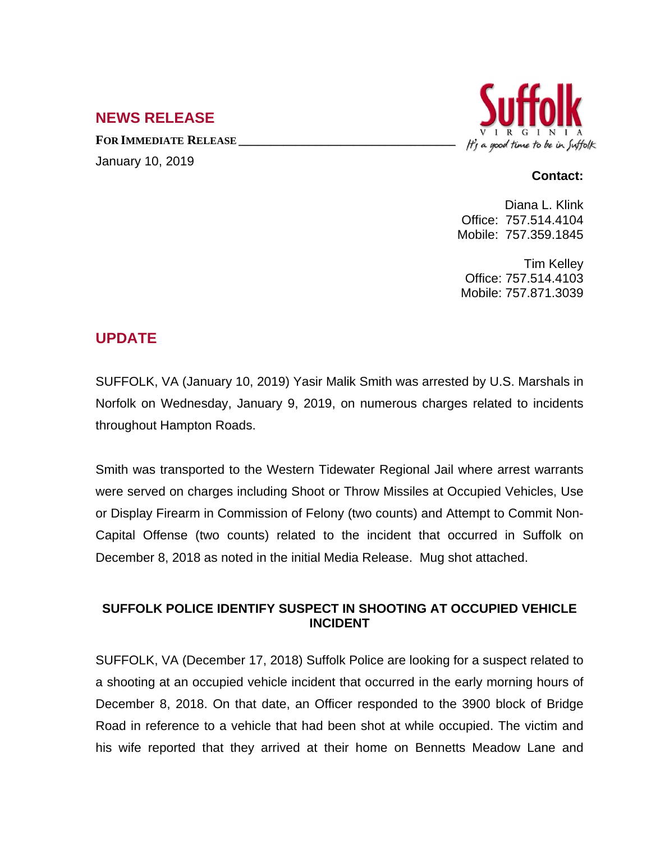## **NEWS RELEASE**

**FOR IMMEDIATE RELEASE \_\_\_\_\_\_\_\_\_\_\_\_\_\_\_\_\_\_\_\_\_\_\_\_\_\_\_\_\_\_\_\_\_\_** January 10, 2019



## **Contact:**

Diana L. Klink Office: 757.514.4104 Mobile: 757.359.1845

Tim Kelley Office: 757.514.4103 Mobile: 757.871.3039

## **UPDATE**

SUFFOLK, VA (January 10, 2019) Yasir Malik Smith was arrested by U.S. Marshals in Norfolk on Wednesday, January 9, 2019, on numerous charges related to incidents throughout Hampton Roads.

Smith was transported to the Western Tidewater Regional Jail where arrest warrants were served on charges including Shoot or Throw Missiles at Occupied Vehicles, Use or Display Firearm in Commission of Felony (two counts) and Attempt to Commit Non-Capital Offense (two counts) related to the incident that occurred in Suffolk on December 8, 2018 as noted in the initial Media Release. Mug shot attached.

## **SUFFOLK POLICE IDENTIFY SUSPECT IN SHOOTING AT OCCUPIED VEHICLE INCIDENT**

SUFFOLK, VA (December 17, 2018) Suffolk Police are looking for a suspect related to a shooting at an occupied vehicle incident that occurred in the early morning hours of December 8, 2018. On that date, an Officer responded to the 3900 block of Bridge Road in reference to a vehicle that had been shot at while occupied. The victim and his wife reported that they arrived at their home on Bennetts Meadow Lane and